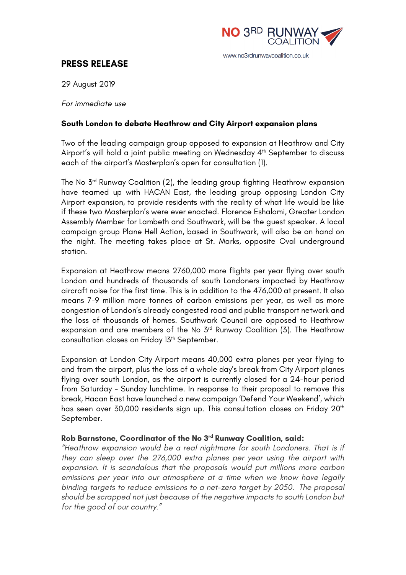

# **PRESS RELEASE**

29 August 2019

*For immediate use*

#### **South London to debate Heathrow and City Airport expansion plans**

Two of the leading campaign group opposed to expansion at Heathrow and City Airport's will hold a joint public meeting on Wednesday 4<sup>th</sup> September to discuss each of the airport's Masterplan's open for consultation (1).

The No  $5<sup>rd</sup>$  Runway Coalition (2), the leading group fighting Heathrow expansion have teamed up with HACAN East, the leading group opposing London City Airport expansion, to provide residents with the reality of what life would be like if these two Masterplan's were ever enacted. Florence Eshalomi, Greater London Assembly Member for Lambeth and Southwark, will be the guest speaker. A local campaign group Plane Hell Action, based in Southwark, will also be on hand on the night. The meeting takes place at St. Marks, opposite Oval underground station.

Expansion at Heathrow means 2760,000 more flights per year flying over south London and hundreds of thousands of south Londoners impacted by Heathrow aircraft noise for the first time. This is in addition to the 476,000 at present. It also means 7-9 million more tonnes of carbon emissions per year, as well as more congestion of London's already congested road and public transport network and the loss of thousands of homes. Southwark Council are opposed to Heathrow expansion and are members of the No 3<sup>rd</sup> Runway Coalition (3). The Heathrow consultation closes on Friday 13<sup>th</sup> September.

Expansion at London City Airport means 40,000 extra planes per year flying to and from the airport, plus the loss of a whole day's break from City Airport planes flying over south London, as the airport is currently closed for a 24-hour period from Saturday – Sunday lunchtime. In response to their proposal to remove this break, Hacan East have launched a new campaign 'Defend Your Weekend', which has seen over 30,000 residents sign up. This consultation closes on Friday 20<sup>th</sup> September.

#### **Rob Barnstone, Coordinator of the No 3rd Runway Coalition, said:**

*"Heathrow expansion would be a real nightmare for south Londoners. That is if they can sleep over the 276,000 extra planes per year using the airport with expansion. It is scandalous that the proposals would put millions more carbon emissions per year into our atmosphere at a time when we know have legally binding targets to reduce emissions to a net-zero target by 2050. The proposal should be scrapped not just because of the negative impacts to south London but for the good of our country."*